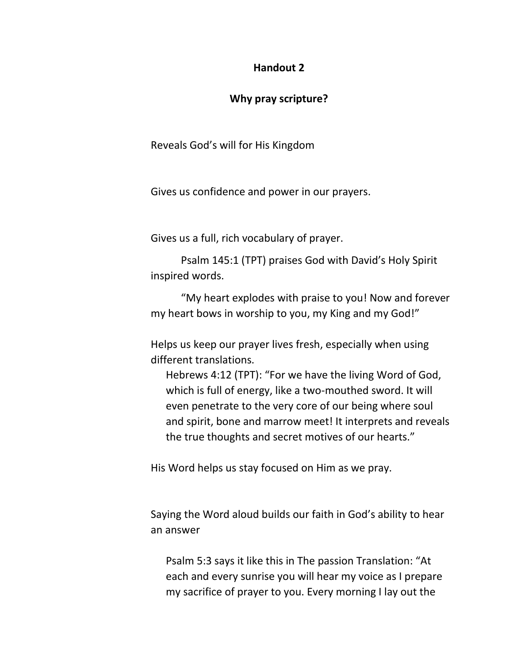## **Handout 2**

## **Why pray scripture?**

Reveals God's will for His Kingdom

Gives us confidence and power in our prayers.

Gives us a full, rich vocabulary of prayer.

Psalm 145:1 (TPT) praises God with David's Holy Spirit inspired words.

"My heart explodes with praise to you! Now and forever my heart bows in worship to you, my King and my God!"

Helps us keep our prayer lives fresh, especially when using different translations.

Hebrews 4:12 (TPT): "For we have the living Word of God, which is full of energy, like a two-mouthed sword. It will even penetrate to the very core of our being where soul and spirit, bone and marrow meet! It interprets and reveals the true thoughts and secret motives of our hearts."

His Word helps us stay focused on Him as we pray.

Saying the Word aloud builds our faith in God's ability to hear an answer

Psalm 5:3 says it like this in The passion Translation: "At each and every sunrise you will hear my voice as I prepare my sacrifice of prayer to you. Every morning I lay out the